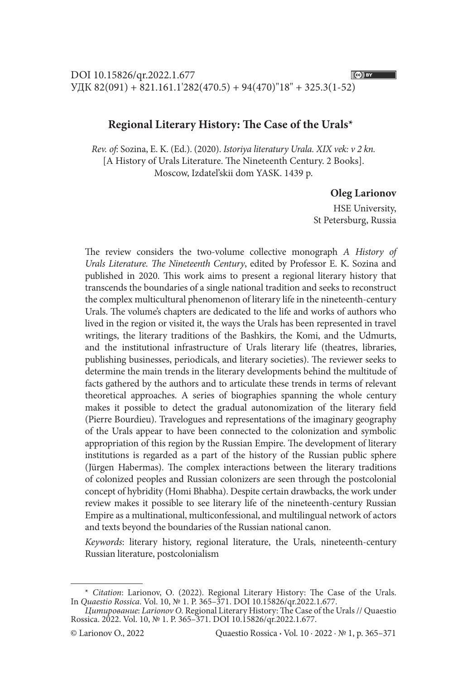## **Regional Literary History: The Case of the Urals\***

*Rev. of*: Sozina, E. K. (Ed.). (2020). *Istoriya literatury Urala. XIX vek: v 2 kn.*  [A History of Urals Literature. The Nineteenth Century. 2 Books]. Moscow, Izdatel'skii dom YASK. 1439 p.

## **Oleg Larionov**

HSE University, St Petersburg, Russia

The review considers the two-volume collective monograph *A History of Urals Literature. The Nineteenth Century*, edited by Professor E. K. Sozina and published in 2020. This work aims to present a regional literary history that transcends the boundaries of a single national tradition and seeks to reconstruct the complex multicultural phenomenon of literary life in the nineteenth-century Urals. The volume's chapters are dedicated to the life and works of authors who lived in the region or visited it, the ways the Urals has been represented in travel writings, the literary traditions of the Bashkirs, the Komi, and the Udmurts, and the institutional infrastructure of Urals literary life (theatres, libraries, publishing businesses, periodicals, and literary societies). The reviewer seeks to determine the main trends in the literary developments behind the multitude of facts gathered by the authors and to articulate these trends in terms of relevant theoretical approaches. A series of biographies spanning the whole century makes it possible to detect the gradual autonomization of the literary field (Pierre Bourdieu). Travelogues and representations of the imaginary geography of the Urals appear to have been connected to the colonization and symbolic appropriation of this region by the Russian Empire. The development of literary institutions is regarded as a part of the history of the Russian public sphere (Jürgen Habermas). The complex interactions between the literary traditions of colonized peoples and Russian colonizers are seen through the postcolonial concept of hybridity (Homi Bhabha). Despite certain drawbacks, the work under review makes it possible to see literary life of the nineteenth-century Russian Empire as a multinational, multiconfessional, and multilingual network of actors and texts beyond the boundaries of the Russian national canon.

*Keywords*: literary history, regional literature, the Urals, nineteenth-century Russian literature, postcolonialism

 $(G)$  BY

<sup>\*</sup> *Сitation*: Larionov, О. (2022). Regional Literary History: The Case of the Urals. In *Quaestio Rossica*. Vol. 10, № 1. P. 365–371. DOI 10.15826/qr.2022.1.677.

*Цитирование*: *Larionov О.* Regional Literary History: The Case of the Urals // Quaestio Rossica. 2022. Vol. 10, № 1. Р. 365–371. DOI 10.15826/qr.2022.1.677.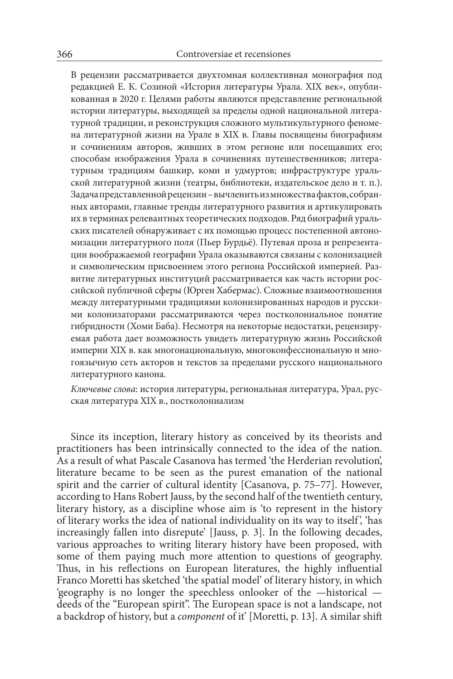В рецензии рассматривается двухтомная коллективная монография под редакцией Е. К. Созиной «История литературы Урала. XIX век», опубликованная в 2020 г. Целями работы являются представление региональной истории литературы, выходящей за пределы одной национальной литературной традиции, и реконструкция сложного мультикультурного феномена литературной жизни на Урале в XIX в. Главы посвящены биографиям и сочинениям авторов, живших в этом регионе или посещавших его; способам изображения Урала в сочинениях путешественников; литературным традициям башкир, коми и удмуртов; инфраструктуре уральской литературной жизни (театры, библиотеки, издательское дело и т. п.). Задача представленной рецензии – вычленить из множества фактов, собранных авторами, главные тренды литературного развития и артикулировать их в терминах релевантных теоретических подходов. Ряд биографий уральских писателей обнаруживает с их помощью процесс постепенной автономизации литературного поля (Пьер Бурдьё). Путевая проза и репрезентации воображаемой географии Урала оказываются связаны с колонизацией и символическим присвоением этого региона Российской империей. Развитие литературных институций рассматривается как часть истории российской публичной сферы (Юрген Хабермас). Сложные взаимоотношения между литературными традициями колонизированных народов и русскими колонизаторами рассматриваются через постколониальное понятие гибридности (Хоми Баба). Несмотря на некоторые недостатки, рецензируемая работа дает возможность увидеть литературную жизнь Российской империи XIX в. как многонациональную, многоконфессиональную и многоязычную сеть акторов и текстов за пределами русского национального литературного канона.

*Ключевые слова*: история литературы, региональная литература, Урал, русская литература XIX в., постколониализм

Since its inception, literary history as conceived by its theorists and practitioners has been intrinsically connected to the idea of the nation. As a result of what Pascale Casanova has termed 'the Herderian revolution', literature became to be seen as the purest emanation of the national spirit and the carrier of cultural identity [Casanova, p. 75–77]. However, according to Hans Robert Jauss, by the second half of the twentieth century, literary history, as a discipline whose aim is 'to represent in the history of literary works the idea of national individuality on its way to itself ', 'has increasingly fallen into disrepute' [Jauss, p. 3]. In the following decades, various approaches to writing literary history have been proposed, with some of them paying much more attention to questions of geography. Thus, in his reflections on European literatures, the highly influential Franco Moretti has sketched 'the spatial model' of literary history, in which 'geography is no longer the speechless onlooker of the —historical deeds of the "European spirit". The European space is not a landscape, not a backdrop of history, but a *component* of it' [Moretti, p. 13]. A similar shift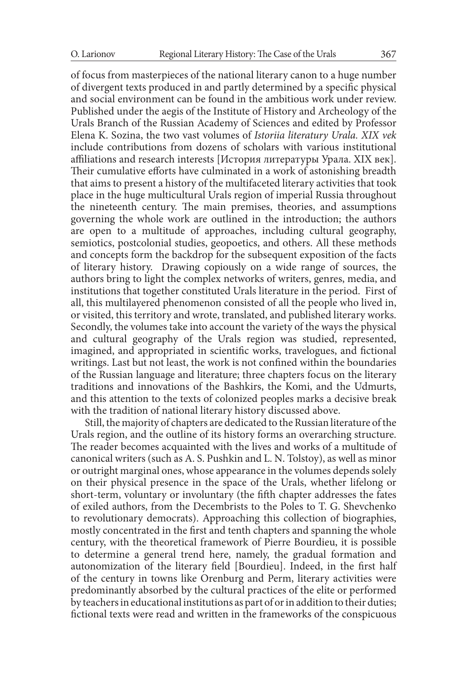of focus from masterpieces of the national literary canon to a huge number

of divergent texts produced in and partly determined by a specific physical and social environment can be found in the ambitious work under review. Published under the aegis of the Institute of History and Archeology of the Urals Branch of the Russian Academy of Sciences and edited by Professor Elena K. Sozina, the two vast volumes of *Istoriia literatury Urala. XIX vek*  include contributions from dozens of scholars with various institutional affiliations and research interests [История литературы Урала. XIX век]. Their cumulative efforts have culminated in a work of astonishing breadth that aims to present a history of the multifaceted literary activities that took place in the huge multicultural Urals region of imperial Russia throughout the nineteenth century. The main premises, theories, and assumptions governing the whole work are outlined in the introduction; the authors are open to a multitude of approaches, including cultural geography, semiotics, postcolonial studies, geopoetics, and others. All these methods and concepts form the backdrop for the subsequent exposition of the facts of literary history. Drawing copiously on a wide range of sources, the authors bring to light the complex networks of writers, genres, media, and institutions that together constituted Urals literature in the period. First of all, this multilayered phenomenon consisted of all the people who lived in, or visited, this territory and wrote, translated, and published literary works. Secondly, the volumes take into account the variety of the ways the physical and cultural geography of the Urals region was studied, represented, imagined, and appropriated in scientific works, travelogues, and fictional writings. Last but not least, the work is not confined within the boundaries of the Russian language and literature; three chapters focus on the literary traditions and innovations of the Bashkirs, the Komi, and the Udmurts, and this attention to the texts of colonized peoples marks a decisive break with the tradition of national literary history discussed above.

Still, the majority of chapters are dedicated to the Russian literature of the Urals region, and the outline of its history forms an overarching structure. The reader becomes acquainted with the lives and works of a multitude of canonical writers (such as A. S. Pushkin and L. N. Tolstoy), as well as minor or outright marginal ones, whose appearance in the volumes depends solely on their physical presence in the space of the Urals, whether lifelong or short-term, voluntary or involuntary (the fifth chapter addresses the fates of exiled authors, from the Decembrists to the Poles to T. G. Shevchenko to revolutionary democrats). Approaching this collection of biographies, mostly concentrated in the first and tenth chapters and spanning the whole century, with the theoretical framework of Pierre Bourdieu, it is possible to determine a general trend here, namely, the gradual formation and autonomization of the literary field [Bourdieu]. Indeed, in the first half of the century in towns like Orenburg and Perm, literary activities were predominantly absorbed by the cultural practices of the elite or performed by teachers in educational institutions as part of or in addition to their duties; fictional texts were read and written in the frameworks of the conspicuous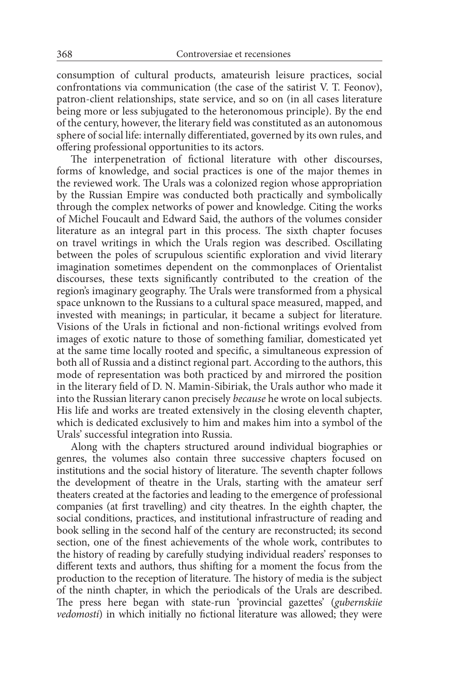consumption of cultural products, amateurish leisure practices, social confrontations via communication (the case of the satirist V. T. Feonov), patron-client relationships, state service, and so on (in all cases literature being more or less subjugated to the heteronomous principle). By the end of the century, however, the literary field was constituted as an autonomous sphere of social life: internally differentiated, governed by its own rules, and offering professional opportunities to its actors.

The interpenetration of fictional literature with other discourses, forms of knowledge, and social practices is one of the major themes in the reviewed work. The Urals was a colonized region whose appropriation by the Russian Empire was conducted both practically and symbolically through the complex networks of power and knowledge. Citing the works of Michel Foucault and Edward Said, the authors of the volumes consider literature as an integral part in this process. The sixth chapter focuses on travel writings in which the Urals region was described. Oscillating between the poles of scrupulous scientific exploration and vivid literary imagination sometimes dependent on the commonplaces of Orientalist discourses, these texts significantly contributed to the creation of the region's imaginary geography. The Urals were transformed from a physical space unknown to the Russians to a cultural space measured, mapped, and invested with meanings; in particular, it became a subject for literature. Visions of the Urals in fictional and non-fictional writings evolved from images of exotic nature to those of something familiar, domesticated yet at the same time locally rooted and specific, a simultaneous expression of both all of Russia and a distinct regional part. According to the authors, this mode of representation was both practiced by and mirrored the position in the literary field of D. N. Mamin-Sibiriak, the Urals author who made it into the Russian literary canon precisely *because* he wrote on local subjects. His life and works are treated extensively in the closing eleventh chapter, which is dedicated exclusively to him and makes him into a symbol of the Urals' successful integration into Russia.

Along with the chapters structured around individual biographies or genres, the volumes also contain three successive chapters focused on institutions and the social history of literature. The seventh chapter follows the development of theatre in the Urals, starting with the amateur serf theaters created at the factories and leading to the emergence of professional companies (at first travelling) and city theatres. In the eighth chapter, the social conditions, practices, and institutional infrastructure of reading and book selling in the second half of the century are reconstructed; its second section, one of the finest achievements of the whole work, contributes to the history of reading by carefully studying individual readers' responses to different texts and authors, thus shifting for a moment the focus from the production to the reception of literature. The history of media is the subject of the ninth chapter, in which the periodicals of the Urals are described. The press here began with state-run 'provincial gazettes' (*gubernskiie vedomosti*) in which initially no fictional literature was allowed; they were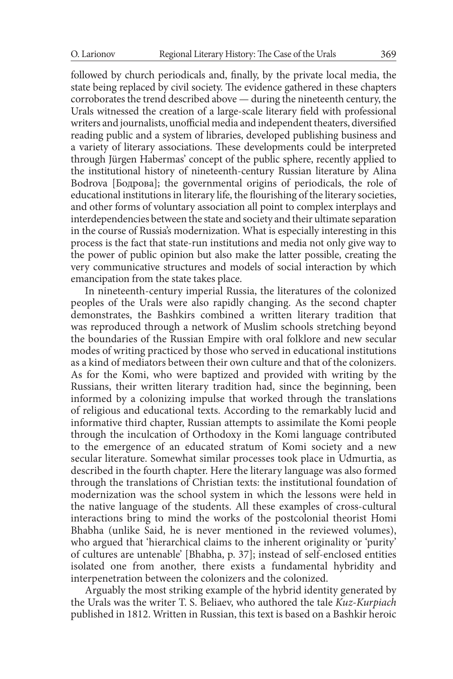followed by church periodicals and, finally, by the private local media, the state being replaced by civil society. The evidence gathered in these chapters corroborates the trend described above — during the nineteenth century, the Urals witnessed the creation of a large-scale literary field with professional writers and journalists, unofficial media and independent theaters, diversified reading public and a system of libraries, developed publishing business and a variety of literary associations. These developments could be interpreted through Jürgen Habermas' concept of the public sphere, recently applied to the institutional history of nineteenth-century Russian literature by Alina Bodrova [Бодрова]; the governmental origins of periodicals, the role of educational institutions in literary life, the flourishing of the literary societies, and other forms of voluntary association all point to complex interplays and interdependencies between the state and society and their ultimate separation in the course of Russia's modernization. What is especially interesting in this process is the fact that state-run institutions and media not only give way to the power of public opinion but also make the latter possible, creating the very communicative structures and models of social interaction by which emancipation from the state takes place.

In nineteenth-century imperial Russia, the literatures of the colonized peoples of the Urals were also rapidly changing. As the second chapter demonstrates, the Bashkirs combined a written literary tradition that was reproduced through a network of Muslim schools stretching beyond the boundaries of the Russian Empire with oral folklore and new secular modes of writing practiced by those who served in educational institutions as a kind of mediators between their own culture and that of the colonizers. As for the Komi, who were baptized and provided with writing by the Russians, their written literary tradition had, since the beginning, been informed by a colonizing impulse that worked through the translations of religious and educational texts. According to the remarkably lucid and informative third chapter, Russian attempts to assimilate the Komi people through the inculcation of Orthodoxy in the Komi language contributed to the emergence of an educated stratum of Komi society and a new secular literature. Somewhat similar processes took place in Udmurtia, as described in the fourth chapter. Here the literary language was also formed through the translations of Christian texts: the institutional foundation of modernization was the school system in which the lessons were held in the native language of the students. All these examples of cross-cultural interactions bring to mind the works of the postcolonial theorist Homi Bhabha (unlike Said, he is never mentioned in the reviewed volumes), who argued that 'hierarchical claims to the inherent originality or 'purity' of cultures are untenable' [Bhabha, p. 37]; instead of self-enclosed entities isolated one from another, there exists a fundamental hybridity and interpenetration between the colonizers and the colonized.

Arguably the most striking example of the hybrid identity generated by the Urals was the writer T. S. Beliaev, who authored the tale *Kuz-Kurpiach*  published in 1812. Written in Russian, this text is based on a Bashkir heroic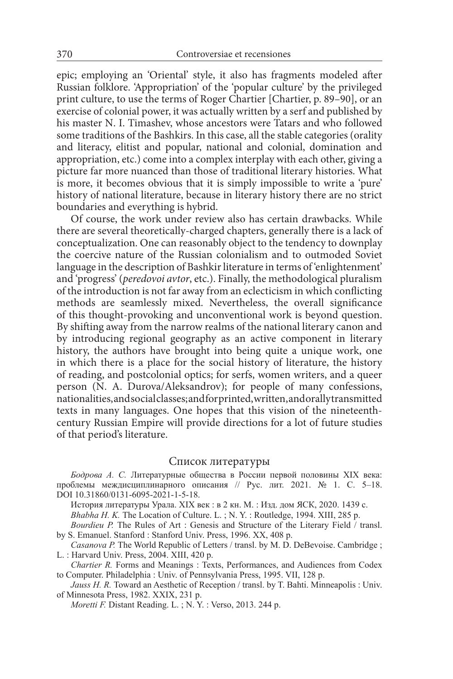epic; employing an 'Oriental' style, it also has fragments modeled after Russian folklore. 'Appropriation' of the 'popular culture' by the privileged print culture, to use the terms of Roger Chartier [Chartier, p. 89–90], or an exercise of colonial power, it was actually written by a serf and published by his master N. I. Timashev, whose ancestors were Tatars and who followed some traditions of the Bashkirs. In this case, all the stable categories (orality and literacy, elitist and popular, national and colonial, domination and appropriation, etc.) come into a complex interplay with each other, giving a picture far more nuanced than those of traditional literary histories. What is more, it becomes obvious that it is simply impossible to write a 'pure' history of national literature, because in literary history there are no strict boundaries and everything is hybrid.

Of course, the work under review also has certain drawbacks. While there are several theoretically-charged chapters, generally there is a lack of conceptualization. One can reasonably object to the tendency to downplay the coercive nature of the Russian colonialism and to outmoded Soviet language in the description of Bashkir literature in terms of 'enlightenment' and 'progress' (*peredovoi avtor*, etc.). Finally, the methodological pluralism of the introduction is not far away from an eclecticism in which conflicting methods are seamlessly mixed. Nevertheless, the overall significance of this thought-provoking and unconventional work is beyond question. By shifting away from the narrow realms of the national literary canon and by introducing regional geography as an active component in literary history, the authors have brought into being quite a unique work, one in which there is a place for the social history of literature, the history of reading, and postcolonial optics; for serfs, women writers, and a queer person (N. A. Durova/Aleksandrov); for people of many confessions, nationalities, and social classes; and for printed, written, and orally transmitted texts in many languages. One hopes that this vision of the nineteenthcentury Russian Empire will provide directions for a lot of future studies of that period's literature.

## Список литературы

*Бодрова А. С.* Литературные общества в России первой половины XIX века: проблемы междисциплинарного описания // Рус. лит. 2021. № 1. С. 5–18. DOI 10.31860/0131-6095-2021-1-5-18.

История литературы Урала. XIX век : в 2 кн. М. : Изд. дом ЯСК, 2020. 1439 с.

*Bhabha H. K.* The Location of Culture. L. ; N. Y. : Routledge, 1994. XIII, 285 p.

*Bourdieu P.* The Rules of Art : Genesis and Structure of the Literary Field / transl. by S. Emanuel. Stanford : Stanford Univ. Press, 1996. XX, 408 p.

*Casanova P.* The World Republic of Letters / transl. by M. D. DeBevoise. Cambridge; L. : Harvard Univ. Press, 2004. XIII, 420 p.

*Chartier R.* Forms and Meanings : Texts, Performances, and Audiences from Codex to Computer. Philadelphia : Univ. of Pennsylvania Press, 1995. VII, 128 p.

*Jauss H. R.* Toward an Aesthetic of Reception / transl. by T. Bahti. Minneapolis : Univ. of Minnesota Press, 1982. XXIX, 231 p.

*Moretti F. Distant Reading. L.*; N.Y.: Verso, 2013. 244 p.